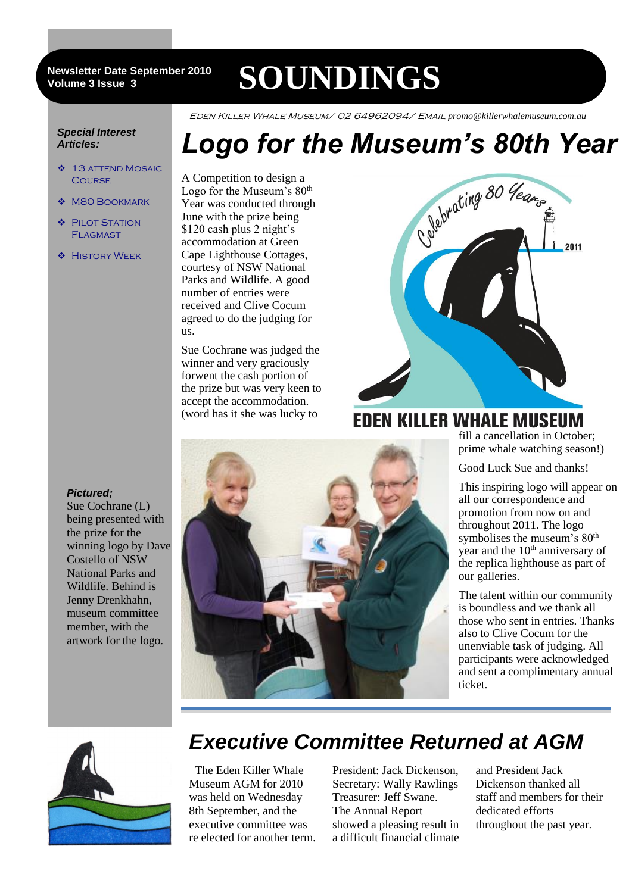#### 3 **Volume 3 Issue 3 Newsletter Date September 2010**

# **SOUNDINGS**

Eden Killer Whale Museum/ 02 64962094/ Email *promo@killerwhalemuseum.com.au*

#### *Special Interest Articles:*

- ◆ 13 ATTEND MOSAIC **COURSE**
- M80 BOOKMARK
- ◆ PILOT STATION **FLAGMAST**
- **\*** HISTORY WEEK

A Competition to design a Logo for the Museum's  $80<sup>th</sup>$ Year was conducted through June with the prize being \$120 cash plus 2 night's accommodation at Green Cape Lighthouse Cottages, courtesy of NSW National Parks and Wildlife. A good number of entries were received and Clive Cocum agreed to do the judging for us.

Sue Cochrane was judged the winner and very graciously forwent the cash portion of the prize but was very keen to accept the accommodation. (word has it she was lucky to



### **EDEN KILLER WHALE MUSEUM**

fill a cancellation in October; prime whale watching season!)

Good Luck Sue and thanks!

This inspiring logo will appear on all our correspondence and promotion from now on and throughout 2011. The logo symbolises the museum's  $80<sup>th</sup>$ year and the 10<sup>th</sup> anniversary of the replica lighthouse as part of our galleries.

The talent within our community is boundless and we thank all those who sent in entries. Thanks also to Clive Cocum for the unenviable task of judging. All participants were acknowledged and sent a complimentary annual ticket.



## *Executive Committee Returned at AGM*

 The Eden Killer Whale Museum AGM for 2010 was held on Wednesday 8th September, and the executive committee was re elected for another term.

President: Jack Dickenson, Secretary: Wally Rawlings Treasurer: Jeff Swane. The Annual Report showed a pleasing result in a difficult financial climate

and President Jack Dickenson thanked all staff and members for their dedicated efforts throughout the past year.

### *Pictured;*

Sue Cochrane (L) being presented with the prize for the winning logo by Dave Costello of NSW National Parks and Wildlife. Behind is Jenny Drenkhahn, museum committee member, with the artwork for the logo.

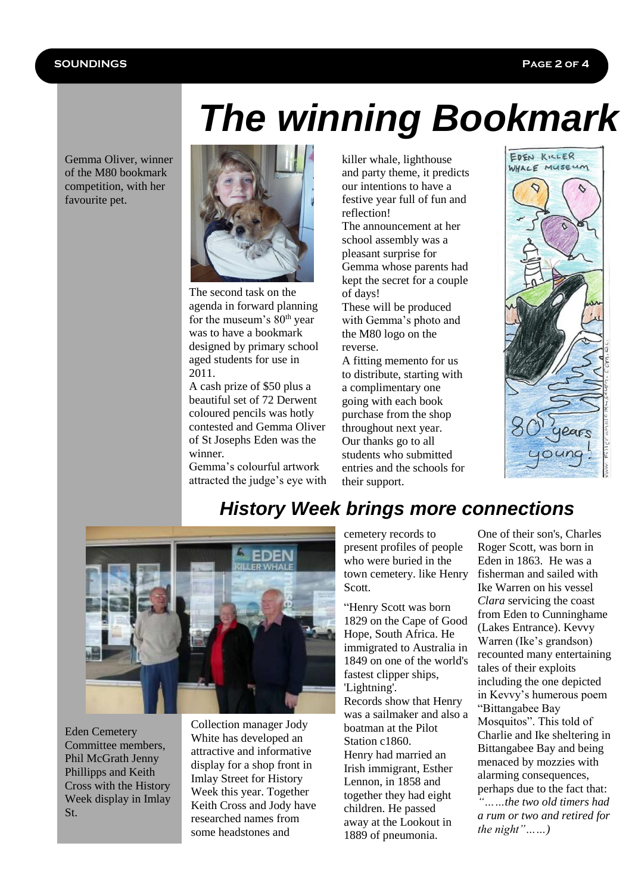### **SOUNDINGS Page 2 of 4**

Gemma Oliver, winner of the M80 bookmark competition, with her favourite pet.



The second task on the agenda in forward planning for the museum's  $80<sup>th</sup>$  year was to have a bookmark designed by primary school aged students for use in 2011.

A cash prize of \$50 plus a beautiful set of 72 Derwent coloured pencils was hotly contested and Gemma Oliver of St Josephs Eden was the winner.

Gemma's colourful artwork attracted the judge's eye with killer whale, lighthouse and party theme, it predicts our intentions to have a festive year full of fun and reflection!

The announcement at her school assembly was a pleasant surprise for Gemma whose parents had kept the secret for a couple of days!

These will be produced with Gemma's photo and the M80 logo on the reverse.

A fitting memento for us to distribute, starting with a complimentary one going with each book purchase from the shop throughout next year. Our thanks go to all students who submitted entries and the schools for their support.





Eden Cemetery Committee members, Phil McGrath Jenny Phillipps and Keith Cross with the History Week display in Imlay St.

Collection manager Jody White has developed an attractive and informative display for a shop front in Imlay Street for History Week this year. Together Keith Cross and Jody have researched names from some headstones and

cemetery records to present profiles of people who were buried in the town cemetery. like Henry Scott.

"Henry Scott was born 1829 on the Cape of Good Hope, South Africa. He immigrated to Australia in 1849 on one of the world's fastest clipper ships, 'Lightning'. Records show that Henry was a sailmaker and also a boatman at the Pilot Station c1860. Henry had married an Irish immigrant, Esther Lennon, in 1858 and together they had eight children. He passed away at the Lookout in 1889 of pneumonia.

One of their son's, Charles Roger Scott, was born in Eden in 1863. He was a fisherman and sailed with Ike Warren on his vessel *Clara* servicing the coast from Eden to Cunninghame (Lakes Entrance). Kevvy Warren (Ike's grandson) recounted many entertaining tales of their exploits including the one depicted in Kevvy's humerous poem "Bittangabee Bay Mosquitos". This told of Charlie and Ike sheltering in Bittangabee Bay and being menaced by mozzies with alarming consequences, perhaps due to the fact that: *"……the two old timers had a rum or two and retired for the night"……)*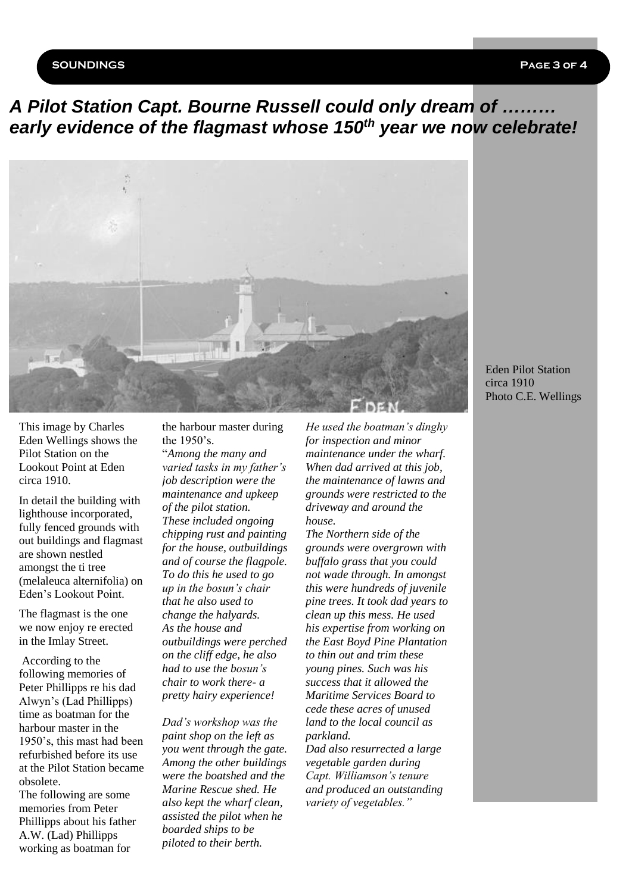#### **SOUNDINGS Page 3 of 4**

### *A Pilot Station Capt. Bourne Russell could only dream of ……… early evidence of the flagmast whose 150th year we now celebrate!*



This image by Charles Eden Wellings shows the Pilot Station on the Lookout Point at Eden circa 1910.

In detail the building with lighthouse incorporated, fully fenced grounds with out buildings and flagmast are shown nestled amongst the ti tree (melaleuca alternifolia) on Eden's Lookout Point.

The flagmast is the one we now enjoy re erected in the Imlay Street.

According to the following memories of Peter Phillipps re his dad Alwyn's (Lad Phillipps) time as boatman for the harbour master in the 1950's, this mast had been refurbished before its use at the Pilot Station became obsolete.

The following are some memories from Peter Phillipps about his father A.W. (Lad) Phillipps working as boatman for

the harbour master during the 1950's. "*Among the many and varied tasks in my father's job description were the maintenance and upkeep of the pilot station. These included ongoing chipping rust and painting for the house, outbuildings and of course the flagpole. To do this he used to go up in the bosun's chair that he also used to change the halyards. As the house and outbuildings were perched on the cliff edge, he also had to use the bosun's chair to work there- a pretty hairy experience!*

*Dad's workshop was the paint shop on the left as you went through the gate. Among the other buildings were the boatshed and the Marine Rescue shed. He also kept the wharf clean, assisted the pilot when he boarded ships to be piloted to their berth.*

*He used the boatman's dinghy for inspection and minor maintenance under the wharf. When dad arrived at this job, the maintenance of lawns and grounds were restricted to the driveway and around the house.*

*The Northern side of the grounds were overgrown with buffalo grass that you could not wade through. In amongst this were hundreds of juvenile pine trees. It took dad years to clean up this mess. He used his expertise from working on the East Boyd Pine Plantation to thin out and trim these young pines. Such was his success that it allowed the Maritime Services Board to cede these acres of unused land to the local council as parkland.*

*Dad also resurrected a large vegetable garden during Capt. Williamson's tenure and produced an outstanding variety of vegetables."*

Eden Pilot Station circa 1910 Photo C.E. Wellings